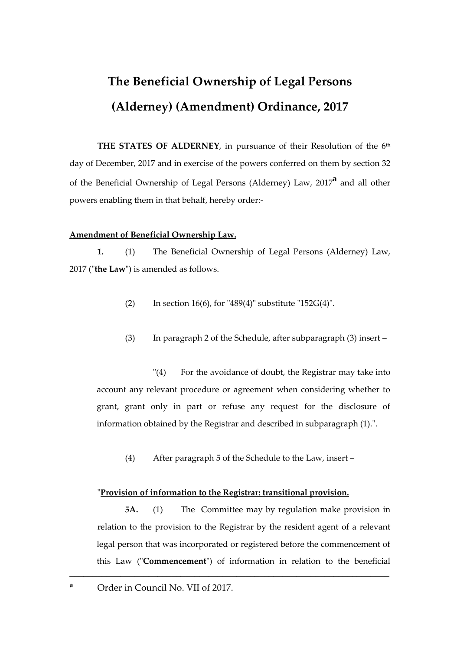# **The Beneficial Ownership of Legal Persons (Alderney) (Amendment) Ordinance, 2017**

**THE STATES OF ALDERNEY**, in pursuance of their Resolution of the 6<sup>th</sup> day of December, 2017 and in exercise of the powers conferred on them by section 32 of the Beneficial Ownership of Legal Persons (Alderney) Law, 2017**<sup>a</sup>** and all other powers enabling them in that behalf, hereby order:-

### **Amendment of Beneficial Ownership Law.**

**1.** (1) The Beneficial Ownership of Legal Persons (Alderney) Law, 2017 ("**the Law**") is amended as follows.

- (2) In section  $16(6)$ , for "489(4)" substitute "152G(4)".
- (3) In paragraph 2 of the Schedule, after subparagraph (3) insert –

"(4) For the avoidance of doubt, the Registrar may take into account any relevant procedure or agreement when considering whether to grant, grant only in part or refuse any request for the disclosure of information obtained by the Registrar and described in subparagraph (1).".

(4) After paragraph 5 of the Schedule to the Law, insert –

#### "**Provision of information to the Registrar: transitional provision.**

\_\_\_\_\_\_\_\_\_\_\_\_\_\_\_\_\_\_\_\_\_\_\_\_\_\_\_\_\_\_\_\_\_\_\_\_\_\_\_\_\_\_\_\_\_\_\_\_\_\_\_\_\_\_\_\_\_\_\_\_\_\_\_\_\_\_\_\_\_

**5A.** (1) The Committee may by regulation make provision in relation to the provision to the Registrar by the resident agent of a relevant legal person that was incorporated or registered before the commencement of this Law ("**Commencement**") of information in relation to the beneficial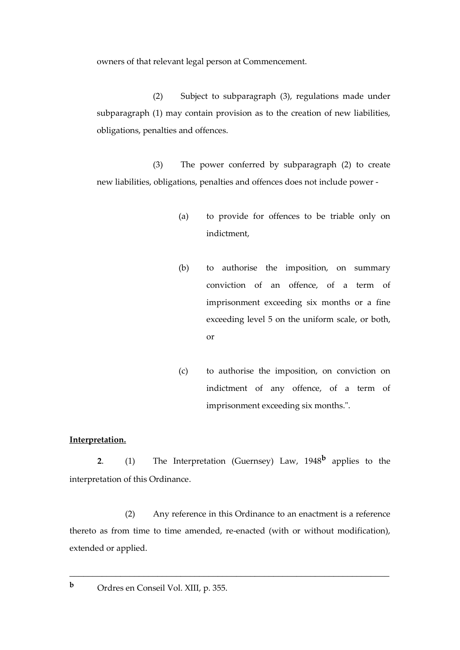owners of that relevant legal person at Commencement.

(2) Subject to subparagraph (3), regulations made under subparagraph (1) may contain provision as to the creation of new liabilities, obligations, penalties and offences.

(3) The power conferred by subparagraph (2) to create new liabilities, obligations, penalties and offences does not include power -

- (a) to provide for offences to be triable only on indictment,
- (b) to authorise the imposition, on summary conviction of an offence, of a term of imprisonment exceeding six months or a fine exceeding level 5 on the uniform scale, or both, or
- (c) to authorise the imposition, on conviction on indictment of any offence, of a term of imprisonment exceeding six months.".

#### **Interpretation.**

**2**. (1) The Interpretation (Guernsey) Law, 1948**<sup>b</sup>** applies to the interpretation of this Ordinance.

(2) Any reference in this Ordinance to an enactment is a reference thereto as from time to time amended, re-enacted (with or without modification), extended or applied.

\_\_\_\_\_\_\_\_\_\_\_\_\_\_\_\_\_\_\_\_\_\_\_\_\_\_\_\_\_\_\_\_\_\_\_\_\_\_\_\_\_\_\_\_\_\_\_\_\_\_\_\_\_\_\_\_\_\_\_\_\_\_\_\_\_\_\_\_\_